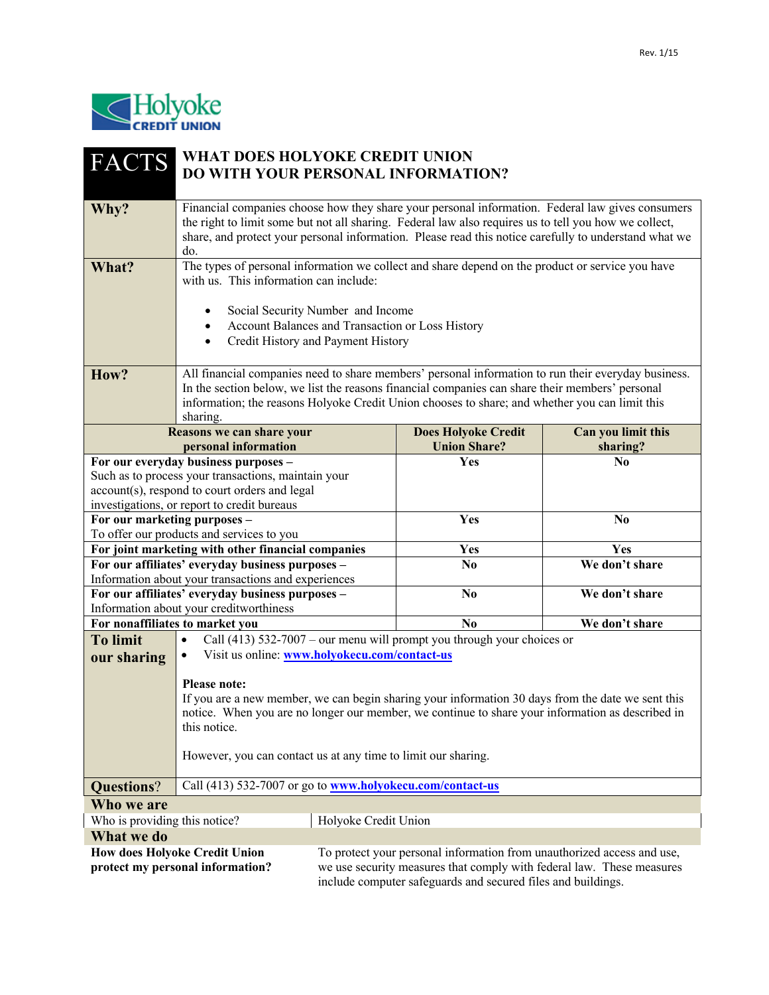

| <b>FACTS</b>                                                                                                                                                                                | <b>WHAT DOES HOLYOKE CREDIT UNION</b><br><b>DO WITH YOUR PERSONAL INFORMATION?</b>                                                                                                                                                                                                                                        |                                                                                                                                                                                                                 |                            |                    |
|---------------------------------------------------------------------------------------------------------------------------------------------------------------------------------------------|---------------------------------------------------------------------------------------------------------------------------------------------------------------------------------------------------------------------------------------------------------------------------------------------------------------------------|-----------------------------------------------------------------------------------------------------------------------------------------------------------------------------------------------------------------|----------------------------|--------------------|
| Why?                                                                                                                                                                                        | Financial companies choose how they share your personal information. Federal law gives consumers<br>the right to limit some but not all sharing. Federal law also requires us to tell you how we collect,<br>share, and protect your personal information. Please read this notice carefully to understand what we<br>do. |                                                                                                                                                                                                                 |                            |                    |
| What?                                                                                                                                                                                       | The types of personal information we collect and share depend on the product or service you have<br>with us. This information can include:<br>Social Security Number and Income<br>Account Balances and Transaction or Loss History<br>Credit History and Payment History                                                 |                                                                                                                                                                                                                 |                            |                    |
| How?                                                                                                                                                                                        | All financial companies need to share members' personal information to run their everyday business.<br>In the section below, we list the reasons financial companies can share their members' personal<br>information; the reasons Holyoke Credit Union chooses to share; and whether you can limit this<br>sharing.      |                                                                                                                                                                                                                 |                            |                    |
|                                                                                                                                                                                             | Reasons we can share your                                                                                                                                                                                                                                                                                                 |                                                                                                                                                                                                                 | <b>Does Holyoke Credit</b> | Can you limit this |
|                                                                                                                                                                                             | personal information                                                                                                                                                                                                                                                                                                      |                                                                                                                                                                                                                 | <b>Union Share?</b>        | sharing?           |
| For our everyday business purposes -<br>Such as to process your transactions, maintain your<br>account(s), respond to court orders and legal<br>investigations, or report to credit bureaus |                                                                                                                                                                                                                                                                                                                           |                                                                                                                                                                                                                 | Yes                        | N <sub>0</sub>     |
| For our marketing purposes -                                                                                                                                                                |                                                                                                                                                                                                                                                                                                                           |                                                                                                                                                                                                                 | Yes                        | N <sub>0</sub>     |
| To offer our products and services to you                                                                                                                                                   |                                                                                                                                                                                                                                                                                                                           |                                                                                                                                                                                                                 |                            |                    |
| For joint marketing with other financial companies                                                                                                                                          |                                                                                                                                                                                                                                                                                                                           |                                                                                                                                                                                                                 | Yes                        | Yes                |
| For our affiliates' everyday business purposes -                                                                                                                                            |                                                                                                                                                                                                                                                                                                                           |                                                                                                                                                                                                                 | N <sub>0</sub>             | We don't share     |
| Information about your transactions and experiences                                                                                                                                         |                                                                                                                                                                                                                                                                                                                           |                                                                                                                                                                                                                 |                            |                    |
| For our affiliates' everyday business purposes -                                                                                                                                            |                                                                                                                                                                                                                                                                                                                           |                                                                                                                                                                                                                 | N <sub>0</sub>             | We don't share     |
| Information about your creditworthiness<br>For nonaffiliates to market you                                                                                                                  |                                                                                                                                                                                                                                                                                                                           |                                                                                                                                                                                                                 | N <sub>0</sub>             | We don't share     |
| <b>To limit</b>                                                                                                                                                                             | $\bullet$                                                                                                                                                                                                                                                                                                                 |                                                                                                                                                                                                                 |                            |                    |
|                                                                                                                                                                                             | Call (413) $532-7007$ – our menu will prompt you through your choices or<br>Visit us online: www.holyokecu.com/contact-us                                                                                                                                                                                                 |                                                                                                                                                                                                                 |                            |                    |
| our sharing                                                                                                                                                                                 |                                                                                                                                                                                                                                                                                                                           |                                                                                                                                                                                                                 |                            |                    |
|                                                                                                                                                                                             | <b>Please note:</b><br>If you are a new member, we can begin sharing your information 30 days from the date we sent this<br>notice. When you are no longer our member, we continue to share your information as described in<br>this notice.<br>However, you can contact us at any time to limit our sharing.             |                                                                                                                                                                                                                 |                            |                    |
| <b>Questions?</b>                                                                                                                                                                           | Call (413) 532-7007 or go to www.holyokecu.com/contact-us                                                                                                                                                                                                                                                                 |                                                                                                                                                                                                                 |                            |                    |
| Who we are                                                                                                                                                                                  |                                                                                                                                                                                                                                                                                                                           |                                                                                                                                                                                                                 |                            |                    |
| Who is providing this notice?                                                                                                                                                               |                                                                                                                                                                                                                                                                                                                           | Holyoke Credit Union                                                                                                                                                                                            |                            |                    |
| What we do                                                                                                                                                                                  |                                                                                                                                                                                                                                                                                                                           |                                                                                                                                                                                                                 |                            |                    |
| <b>How does Holyoke Credit Union</b><br>protect my personal information?                                                                                                                    |                                                                                                                                                                                                                                                                                                                           | To protect your personal information from unauthorized access and use,<br>we use security measures that comply with federal law. These measures<br>include computer safeguards and secured files and buildings. |                            |                    |